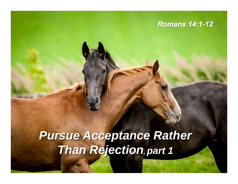#### *Romans 14:1-12*

# *Pursue Acceptance Rather Than Rejection, part 1*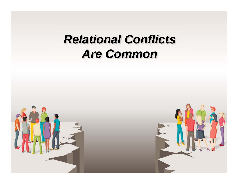# *Relational Conflicts Are Common*



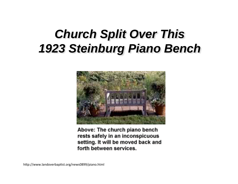# *Church Split Over This 1923 Steinburg Piano Bench*



Above: The church piano bench rests safely in an inconspicuous setting. It will be moved back and forth between services.

http://www.landoverbaptist.org/news0899/piano.html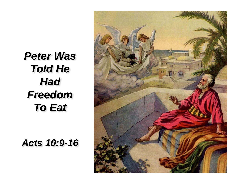*Peter Was Told He Had Freedom To Eat* 

*Acts 10:9-16*

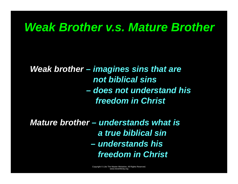## *Weak Brother v.s. Mature Brother*

*Weak brother – imagines sins that are not biblical sins – does not understand his freedom in Christ* 

*Mature brother – understands what is a true biblical sin – understands his freedom in Christ*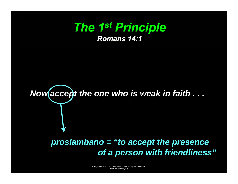## *The 1st Principle Romans 14:1*

# *Now accept the one who is weak in faith . . .*

#### *proslambano = "to accept the presence of a person with friendliness"*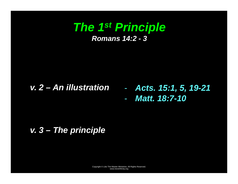#### *The 1st Principle Romans 14:2 - 3*

#### *v. 2 – An illustration*  -

- *Acts. 15:1, 5, 19-21*
- *Matt. 18:7-10*

#### *v. 3 – The principle*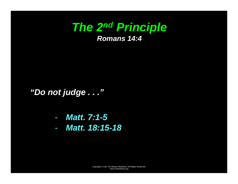## *The 2nd Principle Romans 14:4*

*"Do not judge . . ."* 

- *Matt. 7:1-5*
- *Matt. 18:15-18*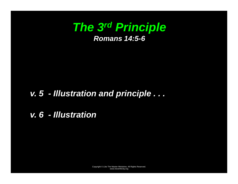

#### *v. 5 - Illustration and principle . . .*

*v. 6 - Illustration*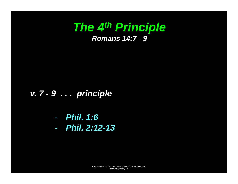## *The 4th Principle Romans 14:7 - 9*

#### *v. 7 - 9 . . . principle*

- *Phil. 1:6* 

- *Phil. 2:12-13*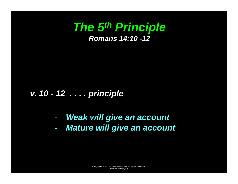

#### *v. 10 - 12 . . . . principle*

- *Weak will give an account*
- *Mature will give an account*